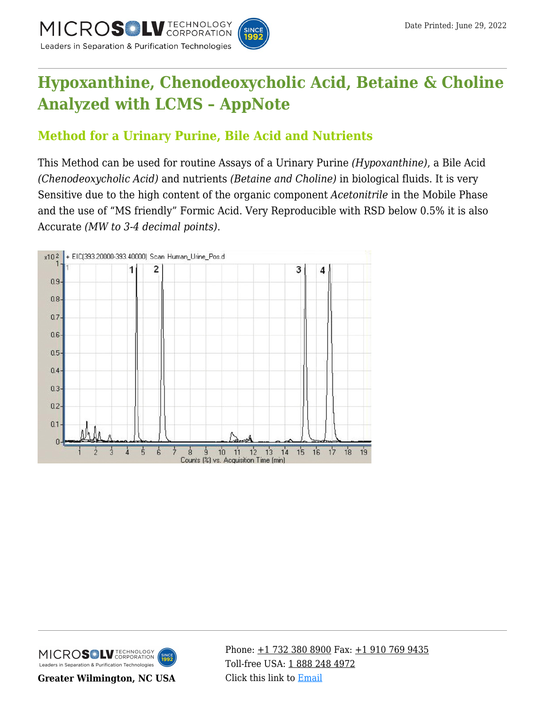

# **[Hypoxanthine, Chenodeoxycholic Acid, Betaine & Choline](https://kb.mtc-usa.com/article/aa-00765/46/) [Analyzed with LCMS – AppNote](https://kb.mtc-usa.com/article/aa-00765/46/)**

# **Method for a Urinary Purine, Bile Acid and Nutrients**

This Method can be used for routine Assays of a Urinary Purine *(Hypoxanthine)*, a Bile Acid *(Chenodeoxycholic Acid)* and nutrients *(Betaine and Choline)* in biological fluids. It is very Sensitive due to the high content of the organic component *Acetonitrile* in the Mobile Phase and the use of "MS friendly" Formic Acid. Very Reproducible with RSD below 0.5% it is also Accurate *(MW to 3-4 decimal points)*.





**Greater Wilmington, NC USA**

Phone:  $\pm$ 1 732 380 8900 Fax:  $\pm$ 1 910 769 9435 Toll-free USA: [1 888 248 4972](#page--1-0) Click this link to [Email](https://www.mtc-usa.com/contact)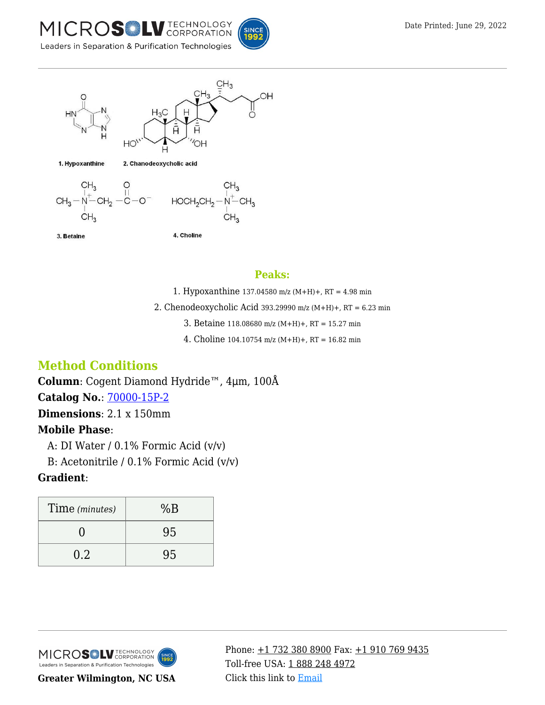



#### **Peaks:**

1. Hypoxanthine 137.04580 m/z (M+H)+, RT = 4.98 min

- 2. Chenodeoxycholic Acid 393.29990 m/z (M+H)+, RT = 6.23 min
	- 3. Betaine 118.08680 m/z (M+H)+, RT = 15.27 min
	- 4. Choline 104.10754 m/z (M+H)+, RT = 16.82 min

# **Method Conditions**

**Column**: Cogent Diamond Hydride™, 4μm, 100Å

**Catalog No.**: [70000-15P-2](https://www.mtc-usa.com/product-details/id/4115801)

**Dimensions**: 2.1 x 150mm

# **Mobile Phase**:

A: DI Water /  $0.1\%$  Formic Acid (v/v)

—B: Acetonitrile / 0.1% Formic Acid (v/v)

## **Gradient**:

| Time (minutes) | %B |
|----------------|----|
|                | 95 |
| 0.2            | 95 |



**Greater Wilmington, NC USA**

Phone:  $\pm$ 1 732 380 8900 Fax:  $\pm$ 1 910 769 9435 Toll-free USA: [1 888 248 4972](#page--1-0) Click this link to [Email](https://www.mtc-usa.com/contact)